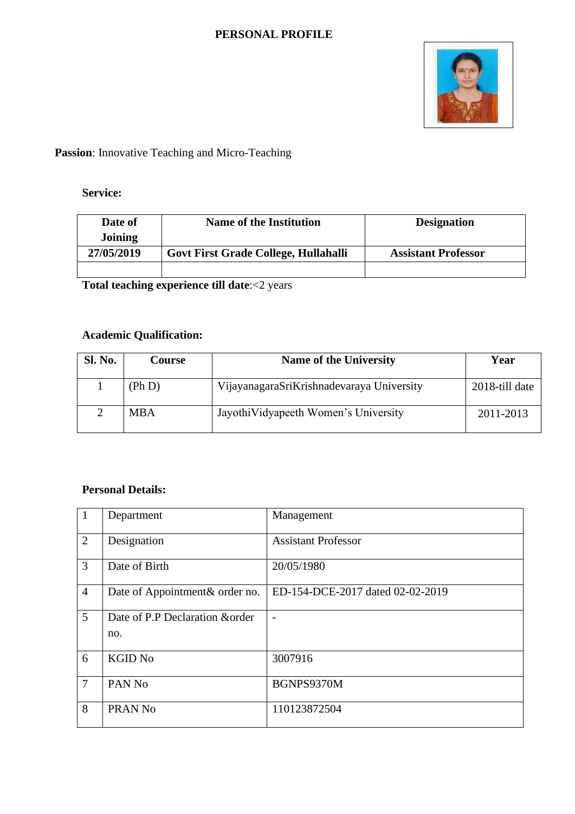### **PERSONAL PROFILE**



## **Passion**: Innovative Teaching and Micro-Teaching

### **Service:**

| Date of    | <b>Name of the Institution</b>       | <b>Designation</b>         |
|------------|--------------------------------------|----------------------------|
| Joining    |                                      |                            |
| 27/05/2019 | Govt First Grade College, Hullahalli | <b>Assistant Professor</b> |
|            |                                      |                            |

**Total teaching experience till date**:<2 years

### **Academic Qualification:**

| Sl. No. | <b>Course</b> | <b>Name of the University</b>             | Year           |
|---------|---------------|-------------------------------------------|----------------|
|         | (Ph D)        | VijayanagaraSriKrishnadevaraya University | 2018-till date |
|         | <b>MBA</b>    | Jayothi Vidyapeeth Women's University     | 2011-2013      |

### **Personal Details:**

| $^{\prime}$ 1  | Department                             | Management                       |
|----------------|----------------------------------------|----------------------------------|
| $\overline{2}$ | Designation                            | <b>Assistant Professor</b>       |
| $\overline{3}$ | Date of Birth                          | 20/05/1980                       |
| $\overline{4}$ | Date of Appointment& order no.         | ED-154-DCE-2017 dated 02-02-2019 |
| 5              | Date of P.P Declaration & order<br>no. |                                  |
| 6              | <b>KGID No</b>                         | 3007916                          |
| $\overline{7}$ | PAN No                                 | BGNPS9370M                       |
| 8              | PRAN <sub>No</sub>                     | 110123872504                     |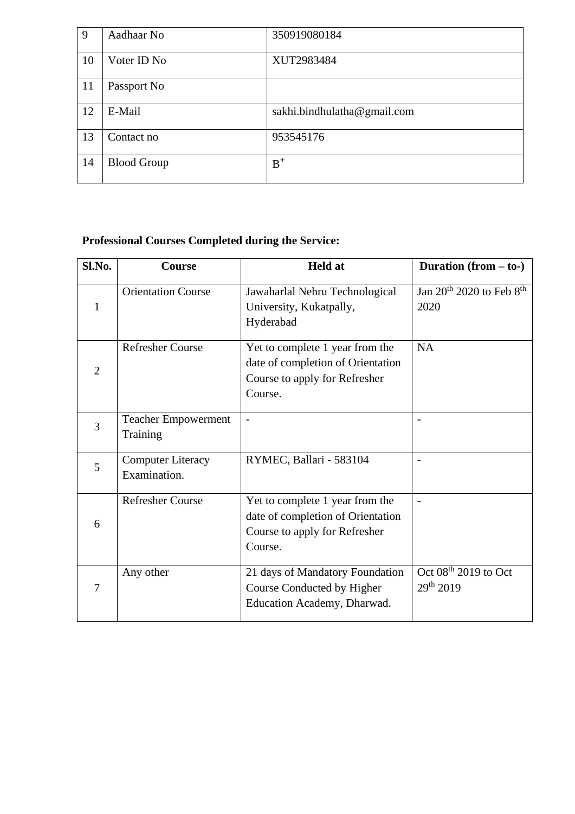| 9             | Aadhaar No  | 350919080184                |
|---------------|-------------|-----------------------------|
| 10            | Voter ID No | XUT2983484                  |
| <sup>11</sup> | Passport No |                             |
| 12            | E-Mail      | sakhi.bindhulatha@gmail.com |
| 13            |             |                             |
|               | Contact no  | 953545176                   |

# **Professional Courses Completed during the Service:**

| Sl.No.       | Course                                   | <b>Held</b> at                                                                                                   | Duration $(from - to-)$                                  |
|--------------|------------------------------------------|------------------------------------------------------------------------------------------------------------------|----------------------------------------------------------|
| $\mathbf{1}$ | <b>Orientation Course</b>                | Jawaharlal Nehru Technological<br>University, Kukatpally,<br>Hyderabad                                           | Jan 20 <sup>th</sup> 2020 to Feb 8 <sup>th</sup><br>2020 |
| 2            | <b>Refresher Course</b>                  | Yet to complete 1 year from the<br>date of completion of Orientation<br>Course to apply for Refresher<br>Course. | <b>NA</b>                                                |
| 3            | <b>Teacher Empowerment</b><br>Training   | $\overline{a}$                                                                                                   |                                                          |
| 5            | <b>Computer Literacy</b><br>Examination. | RYMEC, Ballari - 583104                                                                                          |                                                          |
| 6            | <b>Refresher Course</b>                  | Yet to complete 1 year from the<br>date of completion of Orientation<br>Course to apply for Refresher<br>Course. |                                                          |
| 7            | Any other                                | 21 days of Mandatory Foundation<br>Course Conducted by Higher<br>Education Academy, Dharwad.                     | Oct $08th 2019$ to Oct<br>29th 2019                      |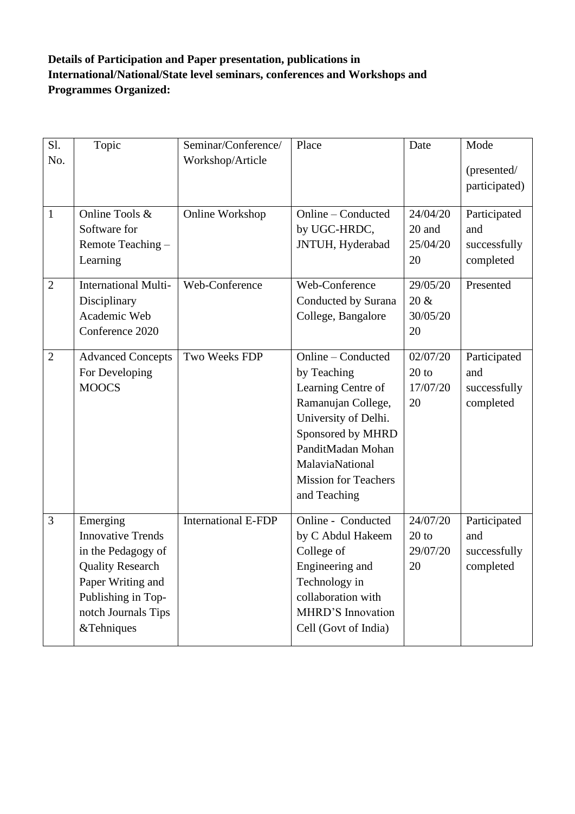## **Details of Participation and Paper presentation, publications in International/National/State level seminars, conferences and Workshops and Programmes Organized:**

| Sl.            | Topic                                                                                                                                                                 | Seminar/Conference/        | Place                                                                                                                                                                                                             | Date                                  | Mode                                             |
|----------------|-----------------------------------------------------------------------------------------------------------------------------------------------------------------------|----------------------------|-------------------------------------------------------------------------------------------------------------------------------------------------------------------------------------------------------------------|---------------------------------------|--------------------------------------------------|
| No.            |                                                                                                                                                                       | Workshop/Article           |                                                                                                                                                                                                                   |                                       | (presented/<br>participated)                     |
| $\mathbf{1}$   | Online Tools &<br>Software for<br>Remote Teaching -<br>Learning                                                                                                       | Online Workshop            | Online - Conducted<br>by UGC-HRDC,<br>JNTUH, Hyderabad                                                                                                                                                            | 24/04/20<br>20 and<br>25/04/20<br>20  | Participated<br>and<br>successfully<br>completed |
| $\overline{2}$ | <b>International Multi-</b><br>Disciplinary<br>Academic Web<br>Conference 2020                                                                                        | Web-Conference             | Web-Conference<br>Conducted by Surana<br>College, Bangalore                                                                                                                                                       | 29/05/20<br>$20 \&$<br>30/05/20<br>20 | Presented                                        |
| $\overline{2}$ | <b>Advanced Concepts</b><br>For Developing<br><b>MOOCS</b>                                                                                                            | Two Weeks FDP              | Online - Conducted<br>by Teaching<br>Learning Centre of<br>Ramanujan College,<br>University of Delhi.<br>Sponsored by MHRD<br>PanditMadan Mohan<br>MalaviaNational<br><b>Mission for Teachers</b><br>and Teaching | 02/07/20<br>$20$ to<br>17/07/20<br>20 | Participated<br>and<br>successfully<br>completed |
| 3              | Emerging<br><b>Innovative Trends</b><br>in the Pedagogy of<br><b>Quality Research</b><br>Paper Writing and<br>Publishing in Top-<br>notch Journals Tips<br>&Tehniques | <b>International E-FDP</b> | Online - Conducted<br>by C Abdul Hakeem<br>College of<br>Engineering and<br>Technology in<br>collaboration with<br>MHRD'S Innovation<br>Cell (Govt of India)                                                      | 24/07/20<br>$20$ to<br>29/07/20<br>20 | Participated<br>and<br>successfully<br>completed |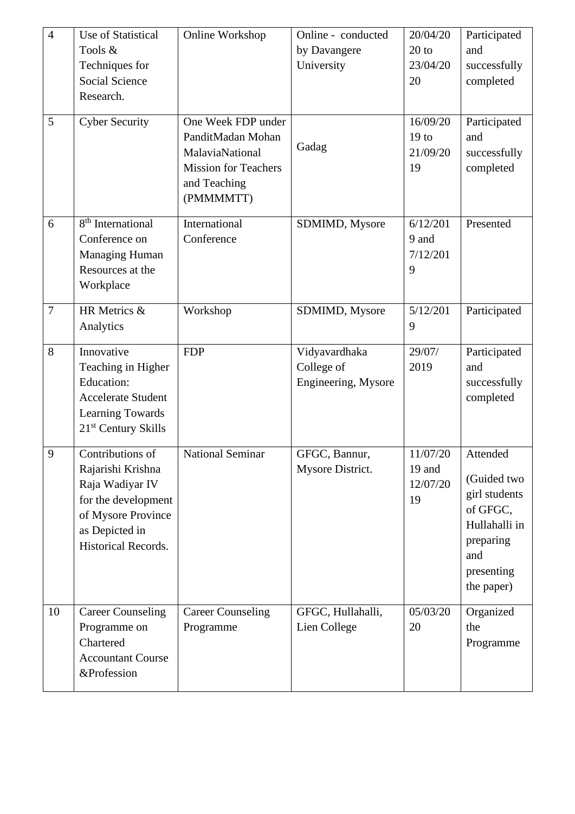| $\overline{4}$<br>5 | Use of Statistical<br>Tools &<br>Techniques for<br><b>Social Science</b><br>Research.<br><b>Cyber Security</b>                                        | Online Workshop<br>One Week FDP under<br>PanditMadan Mohan<br>MalaviaNational<br><b>Mission for Teachers</b><br>and Teaching | Online - conducted<br>by Davangere<br>University<br>Gadag | 20/04/20<br>$20$ to<br>23/04/20<br>20<br>16/09/20<br>19 <sub>to</sub><br>21/09/20<br>19 | Participated<br>and<br>successfully<br>completed<br>Participated<br>and<br>successfully<br>completed                  |
|---------------------|-------------------------------------------------------------------------------------------------------------------------------------------------------|------------------------------------------------------------------------------------------------------------------------------|-----------------------------------------------------------|-----------------------------------------------------------------------------------------|-----------------------------------------------------------------------------------------------------------------------|
| 6                   | 8 <sup>th</sup> International<br>Conference on<br><b>Managing Human</b><br>Resources at the<br>Workplace                                              | (PMMMMTT)<br>International<br>Conference                                                                                     | SDMIMD, Mysore                                            | 6/12/201<br>9 and<br>7/12/201<br>9                                                      | Presented                                                                                                             |
| $\overline{7}$      | HR Metrics &<br>Analytics                                                                                                                             | Workshop                                                                                                                     | SDMIMD, Mysore                                            | 5/12/201<br>9                                                                           | Participated                                                                                                          |
| 8                   | Innovative<br>Teaching in Higher<br><b>Education:</b><br><b>Accelerate Student</b><br>Learning Towards<br>21 <sup>st</sup> Century Skills             | <b>FDP</b>                                                                                                                   | Vidyavardhaka<br>College of<br>Engineering, Mysore        | 29/07/<br>2019                                                                          | Participated<br>and<br>successfully<br>completed                                                                      |
| 9                   | Contributions of<br>Rajarishi Krishna<br>Raja Wadiyar IV<br>for the development<br>of Mysore Province<br>as Depicted in<br><b>Historical Records.</b> | <b>National Seminar</b>                                                                                                      | GFGC, Bannur,<br>Mysore District.                         | 11/07/20<br>19 and<br>12/07/20<br>19                                                    | Attended<br>(Guided two<br>girl students<br>of GFGC,<br>Hullahalli in<br>preparing<br>and<br>presenting<br>the paper) |
| 10                  | <b>Career Counseling</b><br>Programme on<br>Chartered<br><b>Accountant Course</b><br>&Profession                                                      | <b>Career Counseling</b><br>Programme                                                                                        | GFGC, Hullahalli,<br>Lien College                         | 05/03/20<br>20                                                                          | Organized<br>the<br>Programme                                                                                         |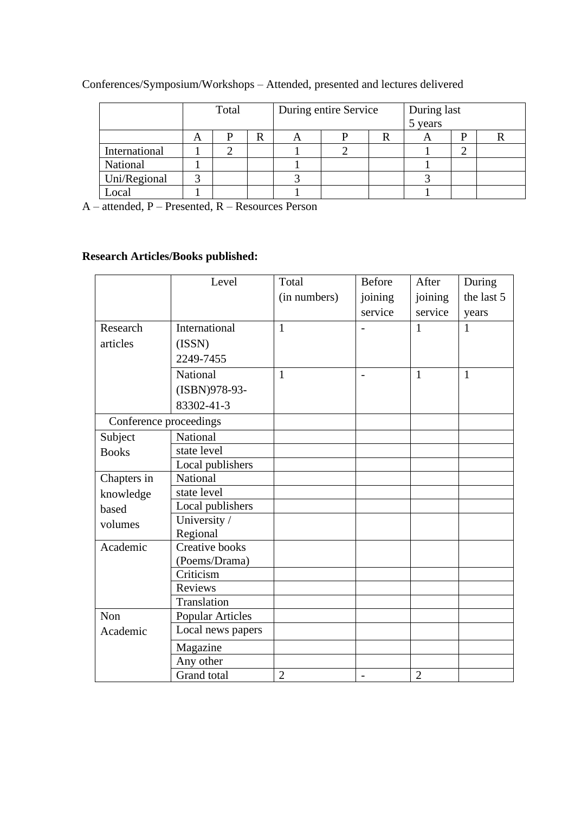|               |   | Total |   |   | During entire Service | During last<br>5 years |  |
|---------------|---|-------|---|---|-----------------------|------------------------|--|
|               | A |       | R | A |                       | $\mathbf{\Gamma}$      |  |
| International |   |       |   |   |                       |                        |  |
| National      |   |       |   |   |                       |                        |  |
| Uni/Regional  |   |       |   |   |                       |                        |  |
| ocal.         |   |       |   |   |                       |                        |  |

Conferences/Symposium/Workshops – Attended, presented and lectures delivered

A – attended, P – Presented, R – Resources Person

# **Research Articles/Books published:**

|                        | Level                   | Total          | <b>Before</b>  | After          | During       |
|------------------------|-------------------------|----------------|----------------|----------------|--------------|
|                        |                         | (in numbers)   | joining        | joining        | the last 5   |
|                        |                         |                | service        | service        | years        |
| Research               | International           | 1              |                | 1              | 1            |
| articles               | (ISSN)                  |                |                |                |              |
|                        | 2249-7455               |                |                |                |              |
|                        | National                | 1              | $\blacksquare$ | $\mathbf{1}$   | $\mathbf{1}$ |
|                        | (ISBN)978-93-           |                |                |                |              |
|                        | 83302-41-3              |                |                |                |              |
| Conference proceedings |                         |                |                |                |              |
| Subject                | National                |                |                |                |              |
| <b>Books</b>           | state level             |                |                |                |              |
|                        | Local publishers        |                |                |                |              |
| Chapters in            | National                |                |                |                |              |
| knowledge              | state level             |                |                |                |              |
| based                  | Local publishers        |                |                |                |              |
| volumes                | University /            |                |                |                |              |
|                        | Regional                |                |                |                |              |
| Academic               | <b>Creative books</b>   |                |                |                |              |
|                        | (Poems/Drama)           |                |                |                |              |
|                        | Criticism               |                |                |                |              |
|                        | Reviews                 |                |                |                |              |
|                        | Translation             |                |                |                |              |
| Non                    | <b>Popular Articles</b> |                |                |                |              |
| Academic               | Local news papers       |                |                |                |              |
|                        | Magazine                |                |                |                |              |
|                        | Any other               |                |                |                |              |
|                        | <b>Grand</b> total      | $\overline{2}$ |                | $\overline{2}$ |              |